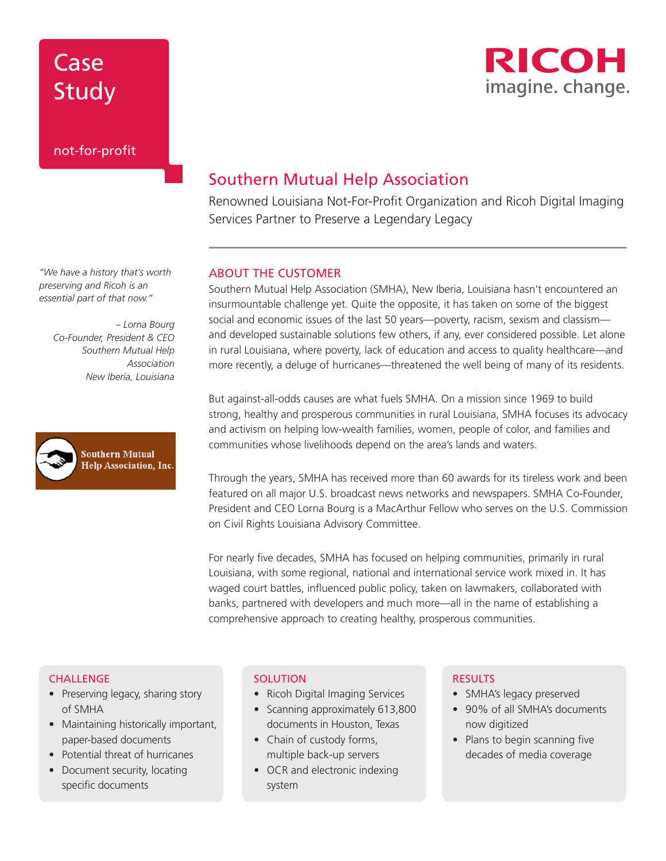



### Southern Mutual Help Association

Renowned Louisiana Not-For-Profit Organization and Ricoh Digital Imaging Services Partner to Preserve a Legendary Legacy

#### ABOUT THE CUSTOMER

Southern Mutual Help Association (SMHA), New Iberia, Louisiana hasn't encountered an insurmountable challenge yet. Quite the opposite, it has taken on some of the biggest social and economic issues of the last 50 years—poverty, racism, sexism and classism and developed sustainable solutions few others, if any, ever considered possible. Let alone in rural Louisiana, where poverty, lack of education and access to quality healthcare—and more recently, a deluge of hurricanes—threatened the well being of many of its residents.

But against-all-odds causes are what fuels SMHA. On a mission since 1969 to build strong, healthy and prosperous communities in rural Louisiana, SMHA focuses its advocacy and activism on helping low-wealth families, women, people of color, and families and communities whose livelihoods depend on the area's lands and waters.

Through the years, SMHA has received more than 60 awards for its tireless work and been featured on all major U.S. broadcast news networks and newspapers. SMHA Co-Founder, President and CEO Lorna Bourg is a MacArthur Fellow who serves on the U.S. Commission on Civil Rights Louisiana Advisory Committee.

For nearly five decades, SMHA has focused on helping communities, primarily in rural Louisiana, with some regional, national and international service work mixed in. It has waged court battles, influenced public policy, taken on lawmakers, collaborated with banks, partnered with developers and much more—all in the name of establishing a comprehensive approach to creating healthy, prosperous communities.

#### **CHALLENGE**

- Preserving legacy, sharing story of SMHA
- Maintaining historically important, paper-based documents
- Potential threat of hurricanes
- Document security, locating specific documents

#### **SOLUTION**

- Ricoh Digital Imaging Services
- Scanning approximately 613,800 documents in Houston, Texas
- Chain of custody forms, multiple back-up servers
- OCR and electronic indexing system

### RESULTS

- SMHA's legacy preserved
- 90% of all SMHA's documents now digitized
- Plans to begin scanning five decades of media coverage

*"We have a history that's worth preserving and Ricoh is an essential part of that now."* 

> *– Lorna Bourg Co-Founder, President & CEO Southern Mutual Help Association New Iberia, Louisiana*

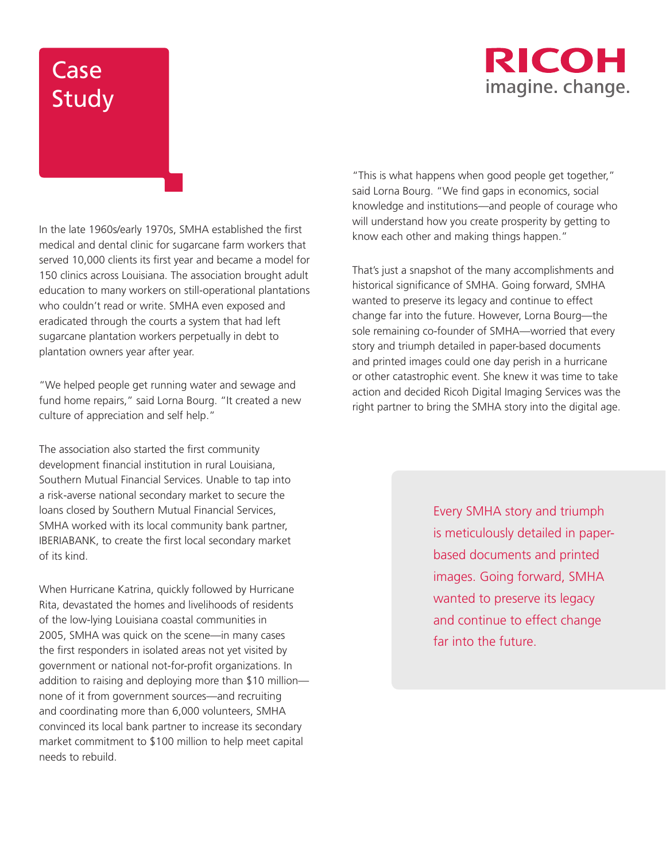### RICOH imagine. change.

# Case Study

In the late 1960s/early 1970s, SMHA established the first medical and dental clinic for sugarcane farm workers that served 10,000 clients its first year and became a model for 150 clinics across Louisiana. The association brought adult education to many workers on still-operational plantations who couldn't read or write. SMHA even exposed and eradicated through the courts a system that had left sugarcane plantation workers perpetually in debt to plantation owners year after year.

"We helped people get running water and sewage and fund home repairs," said Lorna Bourg. "It created a new culture of appreciation and self help."

The association also started the first community development financial institution in rural Louisiana, Southern Mutual Financial Services. Unable to tap into a risk-averse national secondary market to secure the loans closed by Southern Mutual Financial Services, SMHA worked with its local community bank partner, IBERIABANK, to create the first local secondary market of its kind.

When Hurricane Katrina, quickly followed by Hurricane Rita, devastated the homes and livelihoods of residents of the low-lying Louisiana coastal communities in 2005, SMHA was quick on the scene—in many cases the first responders in isolated areas not yet visited by government or national not-for-profit organizations. In addition to raising and deploying more than \$10 million none of it from government sources—and recruiting and coordinating more than 6,000 volunteers, SMHA convinced its local bank partner to increase its secondary market commitment to \$100 million to help meet capital needs to rebuild.

"This is what happens when good people get together," said Lorna Bourg. "We find gaps in economics, social knowledge and institutions—and people of courage who will understand how you create prosperity by getting to know each other and making things happen."

That's just a snapshot of the many accomplishments and historical significance of SMHA. Going forward, SMHA wanted to preserve its legacy and continue to effect change far into the future. However, Lorna Bourg—the sole remaining co-founder of SMHA—worried that every story and triumph detailed in paper-based documents and printed images could one day perish in a hurricane or other catastrophic event. She knew it was time to take action and decided Ricoh Digital Imaging Services was the right partner to bring the SMHA story into the digital age.

> Every SMHA story and triumph is meticulously detailed in paperbased documents and printed images. Going forward, SMHA wanted to preserve its legacy and continue to effect change far into the future.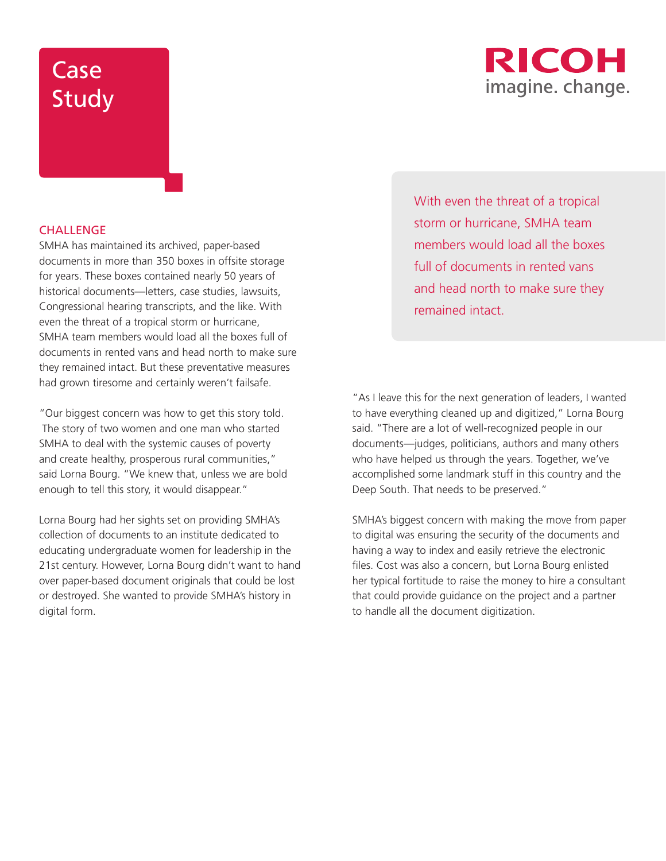

#### **CHALLENGE**

SMHA has maintained its archived, paper-based documents in more than 350 boxes in offsite storage for years. These boxes contained nearly 50 years of historical documents—letters, case studies, lawsuits, Congressional hearing transcripts, and the like. With even the threat of a tropical storm or hurricane, SMHA team members would load all the boxes full of documents in rented vans and head north to make sure they remained intact. But these preventative measures had grown tiresome and certainly weren't failsafe.

"Our biggest concern was how to get this story told. The story of two women and one man who started SMHA to deal with the systemic causes of poverty and create healthy, prosperous rural communities," said Lorna Bourg. "We knew that, unless we are bold enough to tell this story, it would disappear."

Lorna Bourg had her sights set on providing SMHA's collection of documents to an institute dedicated to educating undergraduate women for leadership in the 21st century. However, Lorna Bourg didn't want to hand over paper-based document originals that could be lost or destroyed. She wanted to provide SMHA's history in digital form.

With even the threat of a tropical storm or hurricane, SMHA team members would load all the boxes full of documents in rented vans and head north to make sure they remained intact.

"As I leave this for the next generation of leaders, I wanted to have everything cleaned up and digitized," Lorna Bourg said. "There are a lot of well-recognized people in our documents—judges, politicians, authors and many others who have helped us through the years. Together, we've accomplished some landmark stuff in this country and the Deep South. That needs to be preserved."

SMHA's biggest concern with making the move from paper to digital was ensuring the security of the documents and having a way to index and easily retrieve the electronic files. Cost was also a concern, but Lorna Bourg enlisted her typical fortitude to raise the money to hire a consultant that could provide guidance on the project and a partner to handle all the document digitization.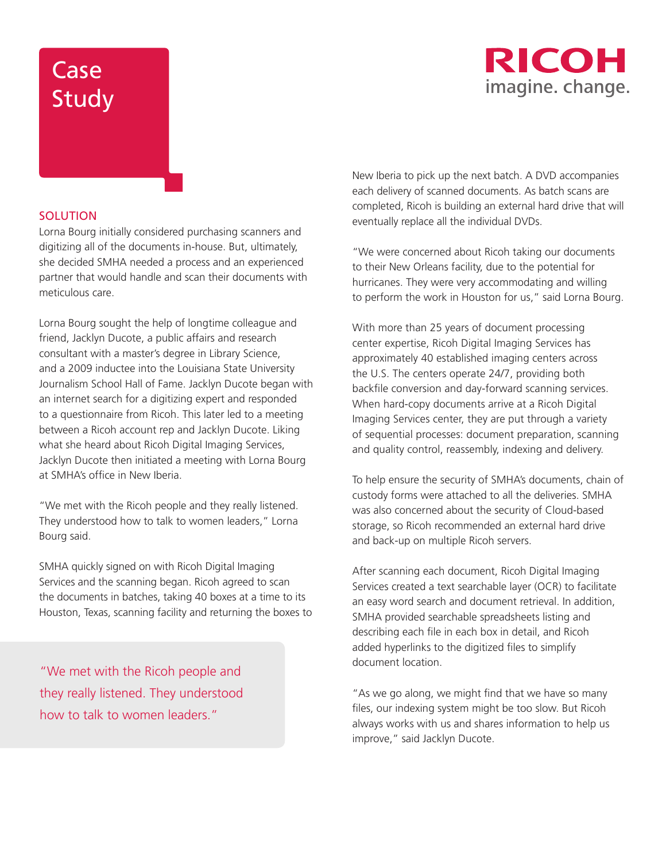### **RICOH** imagine. change.

### **SOLUTION**

Lorna Bourg initially considered purchasing scanners and digitizing all of the documents in-house. But, ultimately, she decided SMHA needed a process and an experienced partner that would handle and scan their documents with meticulous care.

Lorna Bourg sought the help of longtime colleague and friend, Jacklyn Ducote, a public affairs and research consultant with a master's degree in Library Science, and a 2009 inductee into the Louisiana State University Journalism School Hall of Fame. Jacklyn Ducote began with an internet search for a digitizing expert and responded to a questionnaire from Ricoh. This later led to a meeting between a Ricoh account rep and Jacklyn Ducote. Liking what she heard about Ricoh Digital Imaging Services, Jacklyn Ducote then initiated a meeting with Lorna Bourg at SMHA's office in New Iberia.

"We met with the Ricoh people and they really listened. They understood how to talk to women leaders," Lorna Bourg said.

SMHA quickly signed on with Ricoh Digital Imaging Services and the scanning began. Ricoh agreed to scan the documents in batches, taking 40 boxes at a time to its Houston, Texas, scanning facility and returning the boxes to

"We met with the Ricoh people and they really listened. They understood how to talk to women leaders."

New Iberia to pick up the next batch. A DVD accompanies each delivery of scanned documents. As batch scans are completed, Ricoh is building an external hard drive that will eventually replace all the individual DVDs.

"We were concerned about Ricoh taking our documents to their New Orleans facility, due to the potential for hurricanes. They were very accommodating and willing to perform the work in Houston for us," said Lorna Bourg.

With more than 25 years of document processing center expertise, Ricoh Digital Imaging Services has approximately 40 established imaging centers across the U.S. The centers operate 24/7, providing both backfile conversion and day-forward scanning services. When hard-copy documents arrive at a Ricoh Digital Imaging Services center, they are put through a variety of sequential processes: document preparation, scanning and quality control, reassembly, indexing and delivery.

To help ensure the security of SMHA's documents, chain of custody forms were attached to all the deliveries. SMHA was also concerned about the security of Cloud-based storage, so Ricoh recommended an external hard drive and back-up on multiple Ricoh servers.

After scanning each document, Ricoh Digital Imaging Services created a text searchable layer (OCR) to facilitate an easy word search and document retrieval. In addition, SMHA provided searchable spreadsheets listing and describing each file in each box in detail, and Ricoh added hyperlinks to the digitized files to simplify document location.

"As we go along, we might find that we have so many files, our indexing system might be too slow. But Ricoh always works with us and shares information to help us improve," said Jacklyn Ducote.